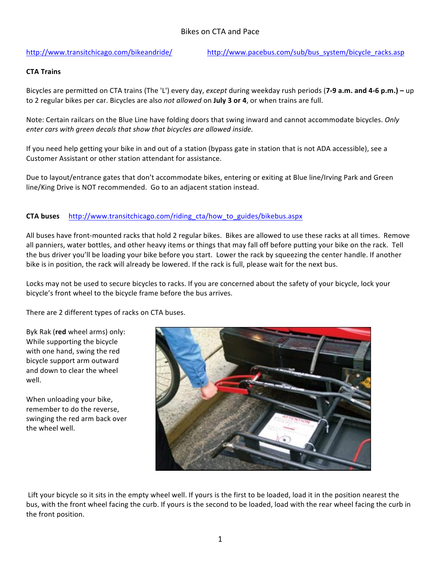http://www.transitchicago.com/bikeandride/ http://www.pacebus.com/sub/bus\_system/bicycle\_racks.asp

## **CTA Trains**

Bicycles are permitted on CTA trains (The 'L') every day, *except* during weekday rush periods (7-9 a.m. and 4-6 p.m.) – up to 2 regular bikes per car. Bicycles are also *not allowed* on **July 3 or 4**, or when trains are full.

Note: Certain railcars on the Blue Line have folding doors that swing inward and cannot accommodate bicycles. *Only* enter cars with green decals that show that bicycles are allowed inside.

If you need help getting your bike in and out of a station (bypass gate in station that is not ADA accessible), see a Customer Assistant or other station attendant for assistance.

Due to layout/entrance gates that don't accommodate bikes, entering or exiting at Blue line/Irving Park and Green line/King Drive is NOT recommended. Go to an adjacent station instead.

## **CTA buses** http://www.transitchicago.com/riding\_cta/how\_to\_guides/bikebus.aspx

All buses have front-mounted racks that hold 2 regular bikes. Bikes are allowed to use these racks at all times. Remove all panniers, water bottles, and other heavy items or things that may fall off before putting your bike on the rack. Tell the bus driver you'll be loading your bike before you start. Lower the rack by squeezing the center handle. If another bike is in position, the rack will already be lowered. If the rack is full, please wait for the next bus.

Locks may not be used to secure bicycles to racks. If you are concerned about the safety of your bicycle, lock your bicycle's front wheel to the bicycle frame before the bus arrives.

There are 2 different types of racks on CTA buses.

Byk Rak (red wheel arms) only: While supporting the bicycle with one hand, swing the red bicycle support arm outward and down to clear the wheel well.

When unloading your bike, remember to do the reverse, swinging the red arm back over the wheel well.



Lift your bicycle so it sits in the empty wheel well. If yours is the first to be loaded, load it in the position nearest the bus, with the front wheel facing the curb. If yours is the second to be loaded, load with the rear wheel facing the curb in the front position.